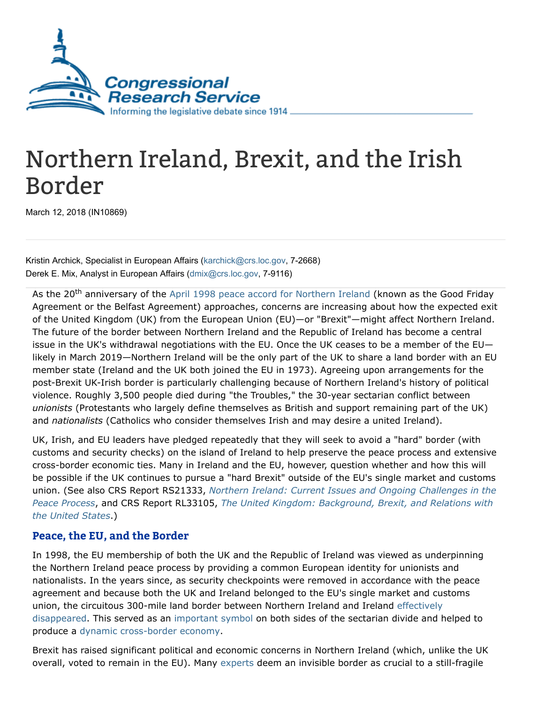

## Northern Ireland, Brexit, and the Irish Border

March 12, 2018 (IN10869)

Kristin Archick, Specialist in European Affairs [\(karchick@crs.loc.gov,](mailto:karchick@crs.loc.gov) 7-2668) Derek E. Mix, Analyst in European Affairs ([dmix@crs.loc.gov,](mailto:dmix@crs.loc.gov) 7-9116)

As the 20<sup>th</sup> anniversary of the April 1998 peace accord for [Northern](https://www.gov.uk/government/publications/the-belfast-agreement) Ireland (known as the Good Friday Agreement or the Belfast Agreement) approaches, concerns are increasing about how the expected exit of the United Kingdom (UK) from the European Union (EU)—or "Brexit"—might affect Northern Ireland. The future of the border between Northern Ireland and the Republic of Ireland has become a central issue in the UK's withdrawal negotiations with the EU. Once the UK ceases to be a member of the EU likely in March 2019—Northern Ireland will be the only part of the UK to share a land border with an EU member state (Ireland and the UK both joined the EU in 1973). Agreeing upon arrangements for the post-Brexit UK-Irish border is particularly challenging because of Northern Ireland's history of political violence. Roughly 3,500 people died during "the Troubles," the 30-year sectarian conflict between unionists (Protestants who largely define themselves as British and support remaining part of the UK) and nationalists (Catholics who consider themselves Irish and may desire a united Ireland).

UK, Irish, and EU leaders have pledged repeatedly that they will seek to avoid a "hard" border (with customs and security checks) on the island of Ireland to help preserve the peace process and extensive cross-border economic ties. Many in Ireland and the EU, however, question whether and how this will be possible if the UK continues to pursue a "hard Brexit" outside of the EU's single market and customs union. (See also CRS Report RS21333, Northern Ireland: Current Issues and Ongoing Challenges in the Peace Process, and CRS Report RL33105, The United Kingdom: [Background,](http://www.crs.gov/Reports/RS21333) Brexit, and Relations with the United States.)

## Peace, the EU, and the Border

In 1998, the EU membership of both the UK and the Republic of Ireland was viewed as underpinning the Northern Ireland peace process by providing a common European identity for unionists and nationalists. In the years since, as security checkpoints were removed in accordance with the peace agreement and because both the UK and Ireland belonged to the EU's single market and customs union, the circuitous 300-mile land border between Northern Ireland and Ireland effectively [disappeared.](http://www.bbc.com/news/uk-politics-42180074) This served as an [important](https://www.nytimes.com/2017/08/05/world/europe/brexit-northern-ireland-ireland.html) symbol on both sides of the sectarian divide and helped to produce a dynamic [cross-border](http://www.atlanticcouncil.org/blogs/econographics/ole-moehr) economy.

Brexit has raised significant political and economic concerns in Northern Ireland (which, unlike the UK overall, voted to remain in the EU). Many [experts](http://www.bbc.com/news/uk-northern-ireland-43270656) deem an invisible border as crucial to a still-fragile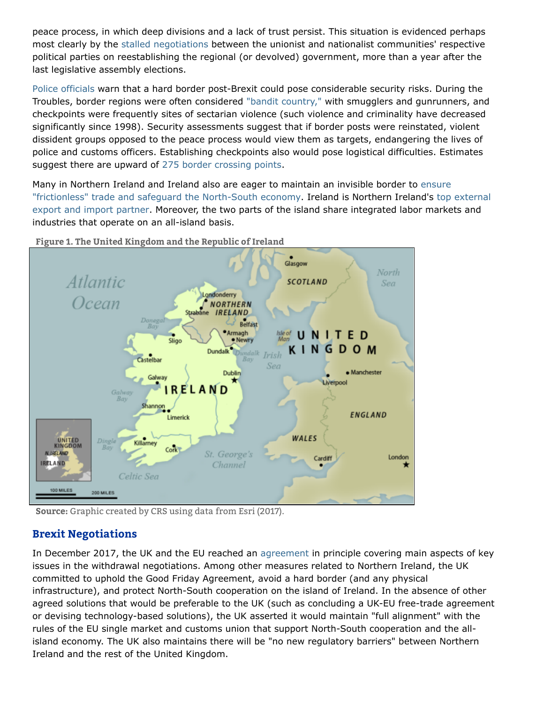peace process, in which deep divisions and a lack of trust persist. This situation is evidenced perhaps most clearly by the stalled [negotiations](https://www.irishtimes.com/news/ireland/irish-news/foster-denies-sinn-f%C3%A9in-claim-she-handed-over-draft-stormont-deal-1.3415978) between the unionist and nationalist communities' respective political parties on reestablishing the regional (or devolved) government, more than a year after the last legislative assembly elections.

Police [officials](https://www.theguardian.com/uk-news/2018/feb/07/n-ireland-police-chief-says-hard-brexit-border-posts-would-be-paramilitary-target) warn that a hard border post-Brexit could pose considerable security risks. During the Troubles, border regions were often considered "bandit [country,"](https://www.washingtonpost.com/world/northern-ireland-has-become-an-unexpected-hurdle-for-brexit/2018/02/28/7efd54e4-1c94-11e8-98f5-ceecfa8741b6_story.html?utm_term=.9745803385ab) with smugglers and gunrunners, and checkpoints were frequently sites of sectarian violence (such violence and criminality have decreased significantly since 1998). Security assessments suggest that if border posts were reinstated, violent dissident groups opposed to the peace process would view them as targets, endangering the lives of police and customs officers. Establishing checkpoints also would pose logistical difficulties. Estimates suggest there are upward of 275 border [crossing](http://www.bbc.com/news/uk-politics-40949424) points.

Many in Northern Ireland and Ireland also are eager to maintain an invisible border to ensure ["frictionless"](https://publications.parliament.uk/pa/ld201617/ldselect/ldeucom/76/7605.htm) trade and safeguard the North-South economy. Ireland is Northern Ireland's top external export and import partner. Moreover, the two parts of the island share integrated labor markets and industries that operate on an all-island basis.



Figure 1. The United Kingdom and the Republic of Ireland

Source: Graphic created by CRS using data from Esri (2017).

## Brexit Negotiations

In December 2017, the UK and the EU reached an [agreement](https://ec.europa.eu/commission/sites/beta-political/files/joint_report.pdf) in principle covering main aspects of key issues in the withdrawal negotiations. Among other measures related to Northern Ireland, the UK committed to uphold the Good Friday Agreement, avoid a hard border (and any physical infrastructure), and protect North-South cooperation on the island of Ireland. In the absence of other agreed solutions that would be preferable to the UK (such as concluding a UK-EU free-trade agreement or devising technology-based solutions), the UK asserted it would maintain "full alignment" with the rules of the EU single market and customs union that support North-South cooperation and the allisland economy. The UK also maintains there will be "no new regulatory barriers" between Northern Ireland and the rest of the United Kingdom.